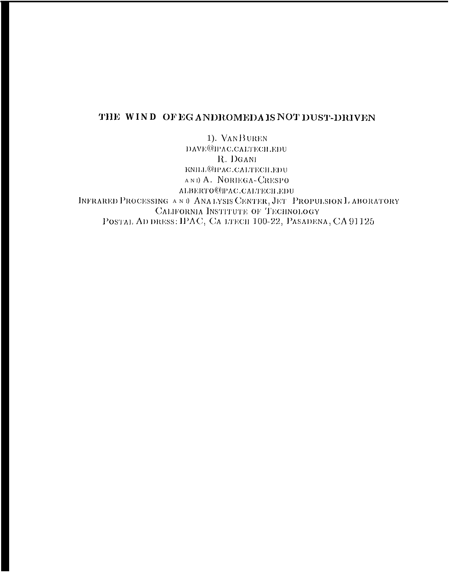# THE WIND OF EGANDROMEDA IS NOT DUST-DRIVEN

1). VANBUREN DAVE@IPAC.CALTECH.EDU R. DGANI KNILL@IPAC.CALTECH.EDU AND A. NORIEGA-CRESPO ALBERTO@PAC.CALTECH.EDU INFRARED PROCESSING AND ANALYSIS CENTER, JET PROPULSION LABORATORY CALIFORNIA INSTITUTE OF TECHNOLOGY POSTAL AD DRESS: IPAC, CA LTECH 100-22, PASADENA, CA 91125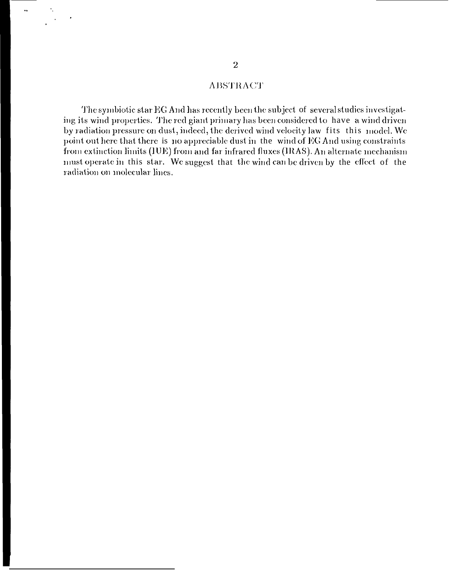## **ABSTRACT**

The symbiotic star EG And has recently been the subject of several studies investigating its wind properties. The red giant primary has been considered to have a wind driven by radiation pressure on dust, indeed, the derived wind velocity law fits this model. We point out here that there is no appreciable dust in the wind of EG And using constraints from extinction limits (IUE) from and far infrared fluxes (IRAS). An alternate mechanism must operate in this star. We suggest that the wind can be driven by the effect of the radiation on molecular lines.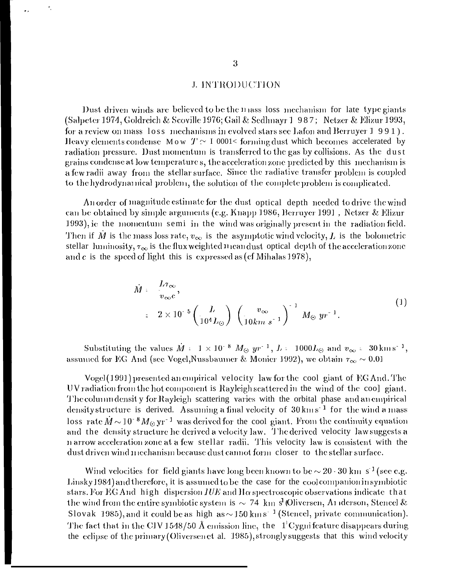### J. INTRODUCTION

Dust driven winds are believed to be the mass loss mechanism for late type giants (Salpeter 1974, Goldreich & Scoville 1976; Gail & Sedlmayr 1 987; Netzer & Elizur 1993, for a review on mass loss mechanisms in evolved stars see Lafon and Berruyer 1 991). Heavy elements condense Mow  $T \sim 1$  0001< forming dust which becomes accelerated by radiation pressure. Dust momentum is transferred to the gas by collisions. As the dust grains condense at low temperatures, the acceleration zone predicted by this mechanism is a few radii away from the stellar surface. Since the radiative transfer problem is coupled to the hydrodynamical problem, the solution of the complete problem is complicated.

An order of magnitude estimate for the dust optical depth needed to drive the wind can be obtained by simple arguments (e.g. Knapp 1986, Berruyer 1991, Netzer & Elizur 1993), ie the momentum semi in the wind was originally present in the radiation field. Then if  $\dot{M}$  is the mass loss rate,  $v_{\infty}$  is the asymptotic wind velocity, L is the bolometric stellar luminosity,  $\tau_{\infty}$  is the flux weighted nican dust optical depth of the acceleration zone and c is the speed of light this is expressed as (cf Mihalas 1978),

$$
\dot{M} = \frac{L\tau_{\infty}}{v_{\infty}c},
$$
\n
$$
= 2 \times 10^{-5} \left(\frac{L}{10^4 L_{\odot}}\right) \left(\frac{v_{\infty}}{10km \, s^{-1}}\right)^{-1} M_{\odot} yr^{-1}.
$$
\n
$$
(1)
$$

Substituting the values  $\dot{M}$  = 1 × 10<sup>-8</sup>  $M_{\odot}$  yr<sup>-1</sup>, L = 1000L<sub>(c)</sub> and  $v_{\infty}$  = 30 km s<sup>-1</sup>, assumed for EG And (see Vogel, Nussbaumer & Monier 1992), we obtain  $\tau_{\infty} \sim 0.01$ 

Vogel (1991) presented an empirical velocity law for the cool giant of EG And. The UV radiation from the hot component is Rayleigh scattered in the wind of the cool giant. The column density for Rayleigh scattering varies with the orbital phase and an empirical density structure is derived. Assuming a final velocity of 30 km s<sup>-1</sup> for the wind a mass loss rate  $\dot{M} \sim 10^{-8} M_{\odot} \text{ yr}^{-1}$  was derived for the cool giant. From the continuity equation and the density structure he derived a velocity law. The derived velocity law suggests a n arrow acceleration zone at a few stellar radii. This velocity law is consistent with the dust driven wind mechanism because dust cannot form closer to the stellar surface.

Wind velocities for field giants have long been known to be  $\sim 20 \cdot 30$  km s<sup>-1</sup> (see e.g. Linsky 1984) and therefore, it is assumed to be the case for the cool companion in symbiotic stars. For EG And high dispersion IUE and Ha spectroscopic observations indicate that the wind from the entire symbiotic system is  $\sim$  74 km s<sup>1</sup> (Oliversen, A1 derson, Stencel & Slovak 1985), and it could be as high as  $\sim$  150 km s<sup>-1</sup> (Stencel, private communication). The fact that in the CIV 1548/50 Å emission line, the  $1^1$ Cygni feature disappears during the eclipse of the primary (Oliversen et al. 1985), strongly suggests that this wind velocity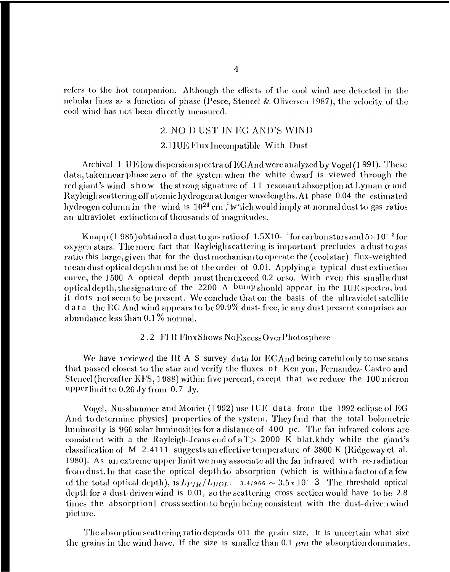refers to the hot companion. Although the effects of the cool wind are detected in the nebular lines as a function of phase (Pesce, Stencel & Oliversen 1987), the velocity of the cool wind has not been directly measured.

#### 2. NO D UST IN EG AND'S WIND

#### 2.110E Flux Incompatible With Dust

Archival 1 UE low dispersion spectra of EG And were analyzed by Vogel (1991). These data, takennear phase zero of the system when the white dwarf is viewed through the red giant's wind show the strong signature of 11 resonant absorption at Lyman  $\alpha$  and Rayleigh scattering off atomic hydrogen at longer wavelengths. At phase 0.04 the estimated hydrogen column in the wind is  $10^{24}$  cm<sup>2</sup>, w 'ich would imply at normal dust to gas ratios an ultraviolet extinction of thousands of magnitudes.

Knapp (1 985) obtained a dust to gas ratio of 1.5X10- $^3$  for carbon stars and  $5\times10^{-3}$  for oxygen stars. The mere fact that Rayleigh scattering is important precludes a dust to gas ratio this large, given that for the dust mechanism to operate the (cool star) flux-weighted mean dust optical depth must be of the order of 0.01. Applying a typical dust extinction curve, the 1500 A optical depth must then exceed 0.2 or so. With even this small a dust optical depth, the signature of the 2200 A bump should appear in the IUE spectra, but it dots not seem to be present. We conclude that on the basis of the ultraviolet satellite d at a the EG And wind appears to be  $99.9\%$  dust-free, ie any dust present comprises an abundance less than  $0.1\,\%$  normal.

### 2.2 FIR Flux Shows NoExcessOver Photosphere

We have reviewed the IR A S survey data for EGAnd being careful only to use scans that passed closest to the star and verify the fluxes of Ken yon, Fernandez-Castro and Stencel (hereafter KFS, 1988) within five percent, except that we reduce the 100 micron upper limit to 0.26 Jy from 0.7 Jy.

Vogel, Nussbaumer and Monier (1992) use IUE data from the 1992 eclipse of EG And to determine physics] properties of the system. They find that the total bolometric luminosity is 966 solar luminosities for a distance of 400 pc. The far infrared colors are consistent with a the Rayleigh-Jeans end of a T > 2000 K blat.khdy while the giant's classification of M 2.4111 suggests an effective temperature of 3800 K (Ridgeway et al. 1980). As an extreme upper limit we may associate all the far infrared with re-radiation from dust. In that case the optical depth to absorption (which is within a factor of a few of the total optical depth),  $1sL_{FIR}/L_{BOL}$  = 3.4/966  $\sim 3.5 \times 10^{-3}$ . The threshold optical depth for a dust-driven wind is 0.01, so the scattering cross section would have to be 2.8 times the absorption] cross section to begin being consistent with the dust-driven wind picture.

The absorption scattering ratio depends 011 the grain size, It is uncertain what size the grains in the wind have. If the size is smaller than 0.1  $\mu m$  the absorption dominates.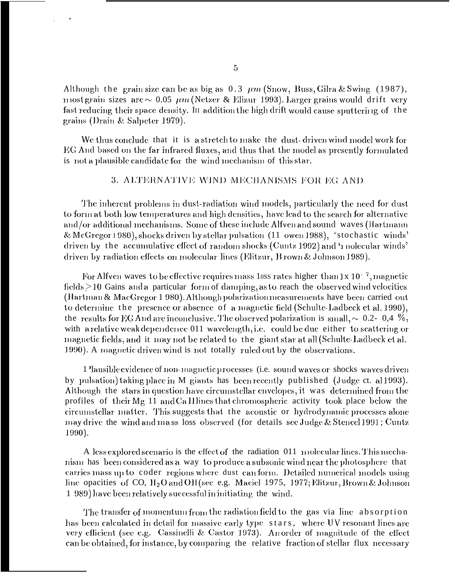Although the grain size can be as big as  $0.3 \ \mu m$  (Snow, Buss, Gilra & Swing (1987), most grain sizes are  $\sim 0.05 \ \mu m$  (Netzer & Elizur 1993), Larger grains would drift very fast reducing their space density. In addition the high drift would cause sputtering of the grains (Drain & Salpeter 1979).

We thus conclude that it is a stretch to make the dust-driven wind model work for EG And based on the far infrared fluxes, and thus that the model as presently formulated is not a plausible candidate for the wind mechanism of this star.

## 3. ALTERNATIVE WIND MECHANISMS FOR EG AND

The inherent problems in dust-radiation wind models, particularly the need for dust to form at both low temperatures and high densities, have lead to the search for alternative and/or additional mechanisms. Some of these include Alfven and sound waves (Hartmann & McGregor 1980), shocks driven by stellar pulsation (11 owen 1988), 'stochastic winds' driven by the accumulative effect of random shocks (Cuntz 1992) and 'molecular winds' driven by radiation effects on molecular lines (Elitzur, B rown & Johnson 1989).

For Alfven waves to be effective requires mass loss rates higher than  $1x 10^{-7}$ , magnetic fields  $\geq$  10 Gains and a particular form of damping, as to reach the observed wind velocities (Hartman & MacGregor 1 980). Although polarization measurements have been carried out to determine the presence or absence of a magnetic field (Schulte-Ladbeck et al. 1990), the results for EG And are inconclusive. The observed polarization is small,  $\sim 0.2$ - 0,4 %, with a relative weak dependence 011 wavelength, i.e. could be due either to scattering or magnetic fields, and it may not be related to the giant star at all (Schulte-Ladbeck et al. 1990). A magnetic driven wind is not totally ruled out by the observations.

1 lausible evidence of non-magnetic processes (i.e. sound waves or shocks waves driven by pulsation) taking place in M giants has been recently published (Judge ct. al 1993). Although the stars in question have circumstellar envelopes, it was determined from the profiles of their Mg 11 and Ca II lines that chromospheric activity took place below the circumstellar matter. This suggests that the acoustic or hydrodynamic processes alone may drive the wind and mass loss observed (for details see Judge & Stencel 1991; Cuntz  $1990$ ).

A less explored scenario is the effect of the radiation 011 molecular lines. This mechanism has been considered as a way to produce a subsonic wind near the photosphere that carries mass up to coder regions where dust can form. Detailed numerical models using line opacities of CO,  $H_2O$  and OH (see e.g. Maciel 1975, 1977; Elitzur, Brown & Johnson 1 989) have been relatively successful in initiating the wind.

The transfer of momentum from the radiation field to the gas via line absorption has been calculated in detail for massive early type stars, where UV resonant lines are very efficient (see e.g. Cassinelli & Castor 1973). An order of magnitude of the effect can be obtained, for instance, by comparing the relative fraction of stellar flux necessary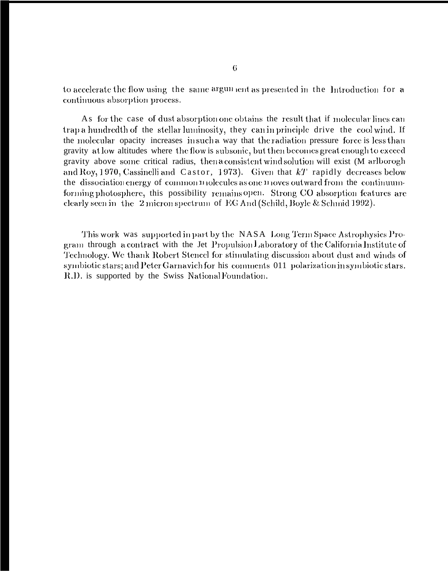to accelerate the flow using the same argun ent as presented in the Introduction for a continuous absorption process.

As for the case of dust absorption one obtains the result that if molecular lines can trap a hundredth of the stellar luminosity, they can in principle drive the cool wind. If the molecular opacity increases in such a way that the radiation pressure force is less than gravity at low altitudes where the flow is subsonic, but then becomes great enough to exceed gravity above some critical radius, then a consistent wind solution will exist (M arlborogh and Roy, 1970, Cassinelli and Castor, 1973). Given that  $kT$  rapidly decreases below the dissociation energy of common nolecules as one noves outward from the continuumforming photosphere, this possibility remains open. Strong CO absorption features are clearly seen in the 2 micron spectrum of EG And (Schild, Boyle & Schmid 1992).

This work was supported in part by the NASA Long Term Space Astrophysics Program through a contract with the Jet Propulsion Laboratory of the California Institute of Technology. We thank Robert Stencel for stimulating discussion about dust and winds of symbiotic stars; and Peter Garnavich for his comments 011 polarization in symbiotic stars. R.D. is supported by the Swiss National Foundation.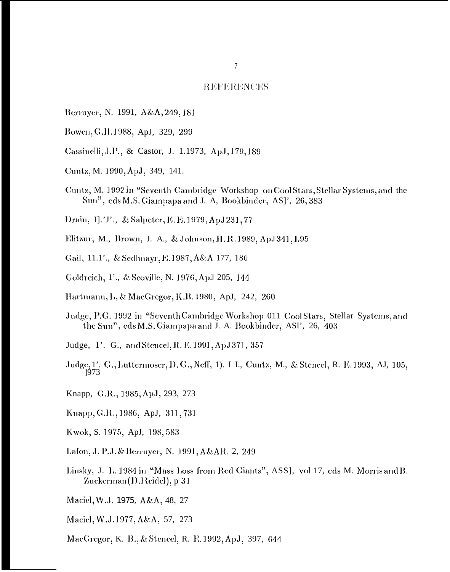#### **REFERENCES**

- Berruyer, N. 1991, A&A, 249, 181
- Bowen, G.H. 1988, ApJ, 329, 299
- Cassinelli, J.P., & Castor, J. 1.1973, ApJ, 179, 189
- Cuntz, M. 1990, ApJ, 349, 141.
- Cuntz, M. 1992 in "Seventh Cambridge Workshop on Cool Stars, Stellar Systems, and the Sun", eds M.S. Giampapa and J. A, Bookbinder, AS]', 26,383
- Drain, I].'J'., & Salpeter, E. E. 1979, ApJ 231, 77
- Elitzur, M., Brown, J. A., & Johnson, H. R. 1989, ApJ 341, L95
- Gail, 11.1'., & Sedlmayr, E. 1987, A&A 177, 186
- Goldreich, 1'., & Scoville, N. 1976, ApJ 205, 144
- Hartmann, L, & MacGregor, K.B. 1980, ApJ, 242, 260
- Judge, P.G. 1992 in "Seventh Cambridge Workshop 011 Cool Stars, Stellar Systems, and the Sun", eds M.S. Giampapa and J. A. Bookbinder, ASI', 26, 403
- Judge, 1'. G., and Stencel, R. E. 1991, ApJ 371, 357
- Judge, 1'. G., Luttermoser, D. G., Neff, 1). I L., Cuntz, M., & Stencel, R. E. 1993, AJ, 105, 1973
- Knapp, G.R., 1985, ApJ, 293, 273
- Knapp, G.R., 1986, ApJ, 311, 731
- Kwok, S. 1975, ApJ, 198, 583
- Lafon, J. P.J. & Berruyer, N. 1991, A&AR. 2, 249
- Linsky, J. L. 1984 in "Mass Loss from Red Giants", ASS], vol 17, eds M. Morris and B. Zuckerman (D.Heidel), p-31
- Maciel, W.J. 1975, A&A, 48, 27
- Maciel, W.J.1977, A&A, 57, 273
- MacGregor, K. B., & Stencel, R. E. 1992, ApJ, 397, 644